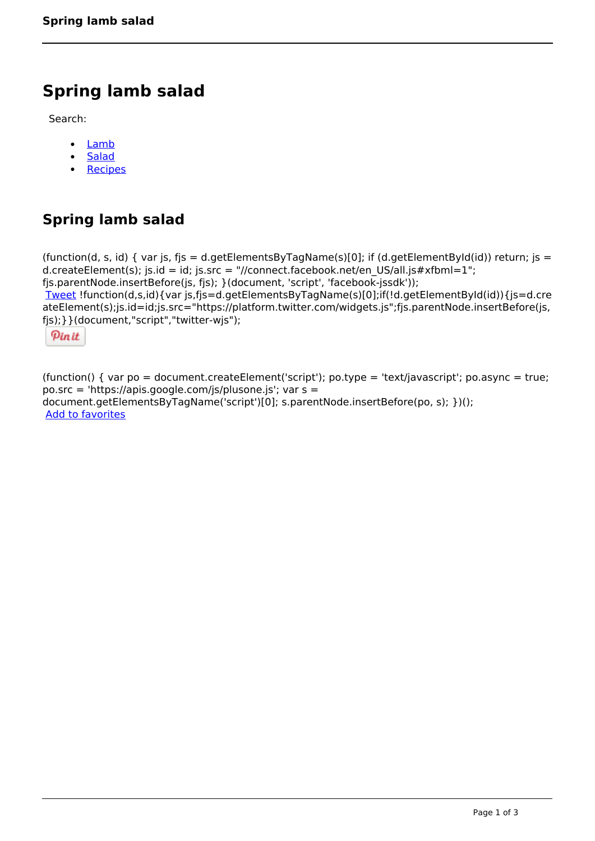# **Spring lamb salad**

Search:

- [Lamb](https://www.naturalhealthmag.com.au/nourish/lamb)  $\bullet$
- [Salad](https://www.naturalhealthmag.com.au/nourish/salads)  $\bullet$
- **[Recipes](https://www.naturalhealthmag.com.au/nourish/recipes)**  $\bullet$

# **Spring lamb salad**

```
(function(d, s, id) { var js, fjs = d.getElementsByTagName(s)[0]; if (d.getElementById(id)) return; js =
d.createElement(s); js.id = id; js.src = "//connect.facebook.net/en_US/all.js#xfbml=1";
fjs.parentNode.insertBefore(js, fjs); }(document, 'script', 'facebook-jssdk')); 
Tweet !function(d,s,id){var js,fjs=d.getElementsByTagName(s)[0];if(!d.getElementById(id)){js=d.cre
ateElement(s);js.id=id;js.src="https://platform.twitter.com/widgets.js";fjs.parentNode.insertBefore(js,
fjs);}}(document,"script","twitter-wjs"); 
 Pin it
```
(function() { var po = document.createElement('script'); po.type = 'text/javascript'; po.async = true; po.src = 'https://apis.google.com/js/plusone.js'; var s = document.getElementsByTagName('script')[0]; s.parentNode.insertBefore(po, s); })(); Add to favorites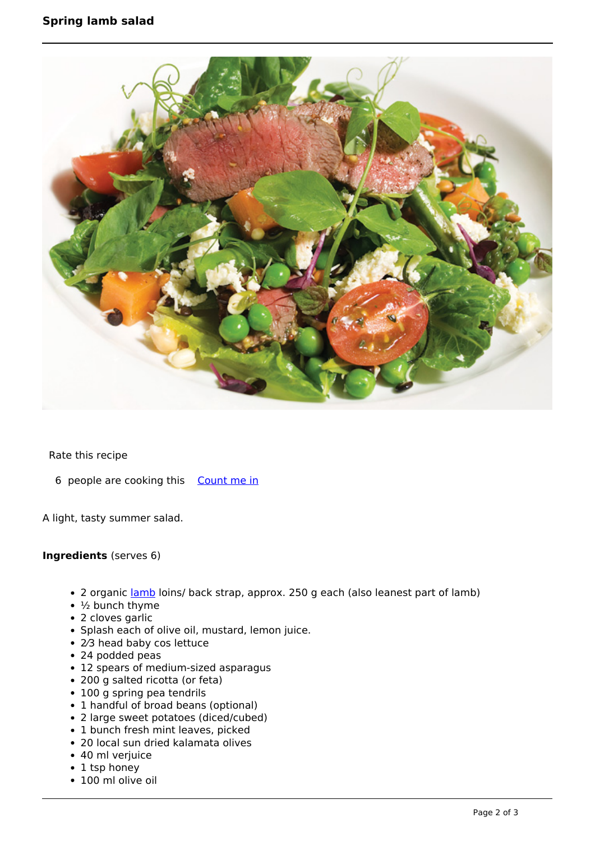## **Spring lamb salad**



Rate this recipe

6 people are cooking this [Count me in](https://www.naturalhealthmag.com.au/flag/flag/favorites/808?destination=printpdf%2F808&token=a1eb4abdbdb721e322282dcc1e4885d9)

A light, tasty summer salad.

### **Ingredients** (serves 6)

- 2 organic *lamb* loins/ back strap, approx. 250 g each (also leanest part of lamb)
- $\cdot$  ½ bunch thyme
- 2 cloves garlic
- Splash each of olive oil, mustard, lemon juice.
- 2⁄3 head baby cos lettuce
- 24 podded peas
- 12 spears of medium-sized asparagus
- 200 g salted ricotta (or feta)
- 100 g spring pea tendrils
- 1 handful of broad beans (optional)
- 2 large sweet potatoes (diced/cubed)
- 1 bunch fresh mint leaves, picked
- 20 local sun dried kalamata olives
- 40 ml verjuice
- 1 tsp honey
- 100 ml olive oil